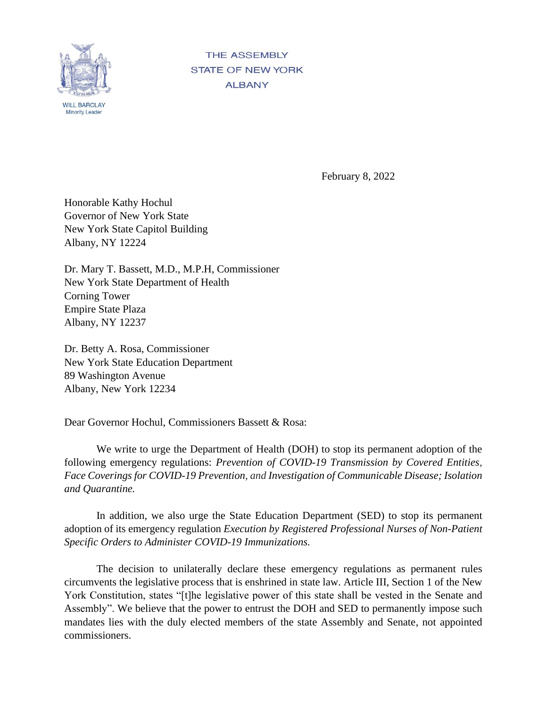

**THE ASSEMBLY STATE OF NEW YORK ALBANY** 

February 8, 2022

Honorable Kathy Hochul Governor of New York State New York State Capitol Building Albany, NY 12224

Dr. Mary T. Bassett, M.D., M.P.H, Commissioner New York State Department of Health Corning Tower Empire State Plaza Albany, NY 12237

Dr. Betty A. Rosa, Commissioner New York State Education Department 89 Washington Avenue Albany, New York 12234

Dear Governor Hochul, Commissioners Bassett & Rosa:

We write to urge the Department of Health (DOH) to stop its permanent adoption of the following emergency regulations: *Prevention of COVID-19 Transmission by Covered Entities, Face Coverings for COVID-19 Prevention, and Investigation of Communicable Disease; Isolation and Quarantine.* 

In addition, we also urge the State Education Department (SED) to stop its permanent adoption of its emergency regulation *Execution by Registered Professional Nurses of Non-Patient Specific Orders to Administer COVID-19 Immunizations.*

The decision to unilaterally declare these emergency regulations as permanent rules circumvents the legislative process that is enshrined in state law. Article III, Section 1 of the New York Constitution, states "[t]he legislative power of this state shall be vested in the Senate and Assembly". We believe that the power to entrust the DOH and SED to permanently impose such mandates lies with the duly elected members of the state Assembly and Senate, not appointed commissioners.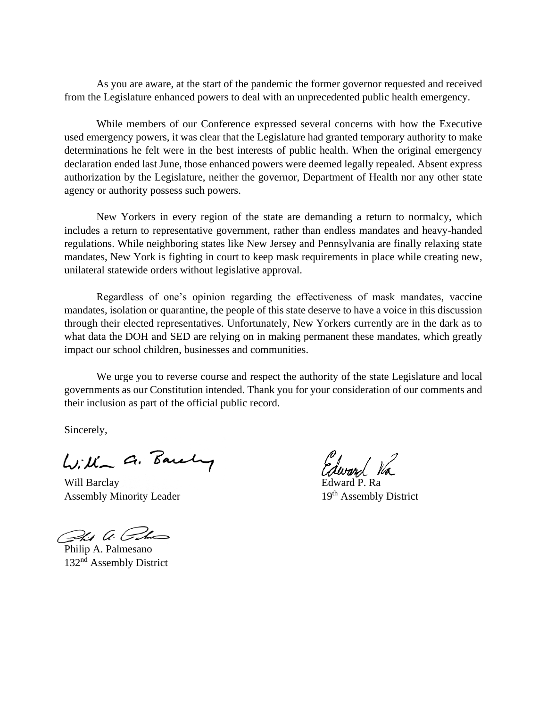As you are aware, at the start of the pandemic the former governor requested and received from the Legislature enhanced powers to deal with an unprecedented public health emergency.

While members of our Conference expressed several concerns with how the Executive used emergency powers, it was clear that the Legislature had granted temporary authority to make determinations he felt were in the best interests of public health. When the original emergency declaration ended last June, those enhanced powers were deemed legally repealed. Absent express authorization by the Legislature, neither the governor, Department of Health nor any other state agency or authority possess such powers.

New Yorkers in every region of the state are demanding a return to normalcy, which includes a return to representative government, rather than endless mandates and heavy-handed regulations. While neighboring states like New Jersey and Pennsylvania are finally relaxing state mandates, New York is fighting in court to keep mask requirements in place while creating new, unilateral statewide orders without legislative approval.

Regardless of one's opinion regarding the effectiveness of mask mandates, vaccine mandates, isolation or quarantine, the people of this state deserve to have a voice in this discussion through their elected representatives. Unfortunately, New Yorkers currently are in the dark as to what data the DOH and SED are relying on in making permanent these mandates, which greatly impact our school children, businesses and communities.

We urge you to reverse course and respect the authority of the state Legislature and local governments as our Constitution intended. Thank you for your consideration of our comments and their inclusion as part of the official public record.

Sincerely,

Lilla a. Barely

Will Barclay Assembly Minority Leader 19th Assembly District

Phy a. Colm

Philip A. Palmesano 132<sup>nd</sup> Assembly District

Edward Va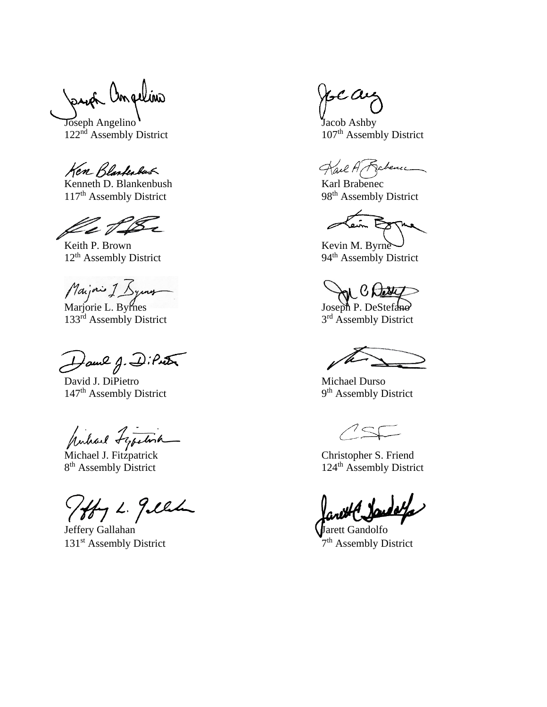uón Ampelino

Joseph Angelino **Joseph Angelino** Jacob Ashby<br>122<sup>nd</sup> Assembly District 107<sup>th</sup> Assembly District 122<sup>nd</sup> Assembly District

Ken Blankabas

Kenneth D. Blankenbush Karl Brabenec<br>
117<sup>th</sup> Assembly District 98<sup>th</sup> Assembly District 117<sup>th</sup> Assembly District

lle t &

Keith P. Brown Kevin M. Byrne 12<sup>th</sup> Assembly District 94<sup>th</sup> Assembly District

Maijorie I. Byrnes Joseph P. DeStefano

133<sup>rd</sup> Assembly District

Hame J. DiPuter

David J. DiPietro Michael Durso 147<sup>th</sup> Assembly District

pulare Lepetina

8<sup>th</sup> Assembly District

Totty L. gille

Jeffery Gallahan Van de Landsche State Gandolfo 131<sup>st</sup> Assembly District

e a

Kail A Rabence

كاسع

AN Ches

3<sup>rd</sup> Assembly District

9<sup>th</sup> Assembly District

Michael J. Fitzpatrick Christopher S. Friend 124<sup>th</sup> Assembly District

7<sup>th</sup> Assembly District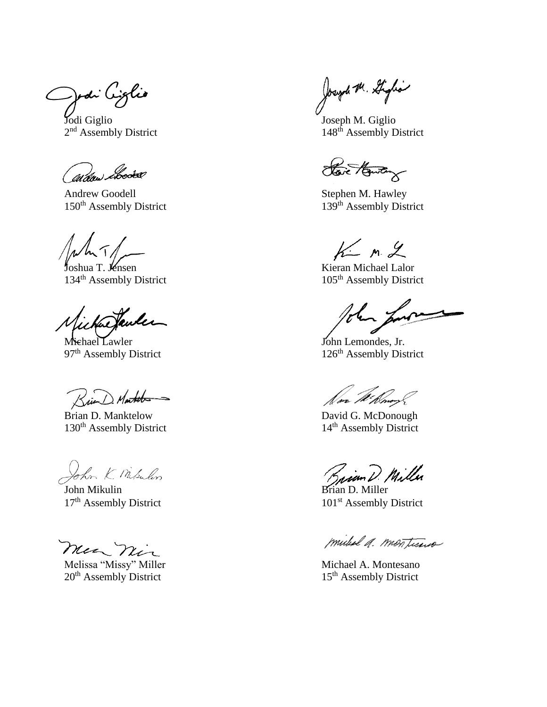Jodi Ciglio

Jodi Giglio Joseph M. Giglio 2<sup>nd</sup> Assembly District

brookev (ul dae)

Andrew Goodell<br>
150<sup>th</sup> Assembly District<br>
130<sup>th</sup> Assembly District<br>
139<sup>th</sup> Assembly District 150<sup>th</sup> Assembly District

134<sup>th</sup> Assembly District 105<sup>th</sup> Assembly District

Michael Lawler John Lemondes, Jr.<br>
97<sup>th</sup> Assembly District 126<sup>th</sup> Assembly Dis

Krie

Brian D. Manktelow David G. McDonough<br>
130<sup>th</sup> Assembly District 14<sup>th</sup> Assembly District 130<sup>th</sup> Assembly District

John K. Misulin

John Mikulin Brian D. Miller

mea nin

Melissa "Missy" Miller Michael A. Montesano  $20<sup>th</sup>$  Assembly District 15<sup>th</sup> Assembly District

Joseph M. Giglia

148<sup>th</sup> Assembly District

Have Howton

 $K_{\scriptscriptstyle\bullet}$  m 2

Joshua T. Jensen Kieran Michael Lalor

126<sup>th</sup> Assembly District

Saian D. Miller

 $17<sup>th</sup>$  Assembly District  $101<sup>st</sup>$  Assembly District

mideal a. montisus